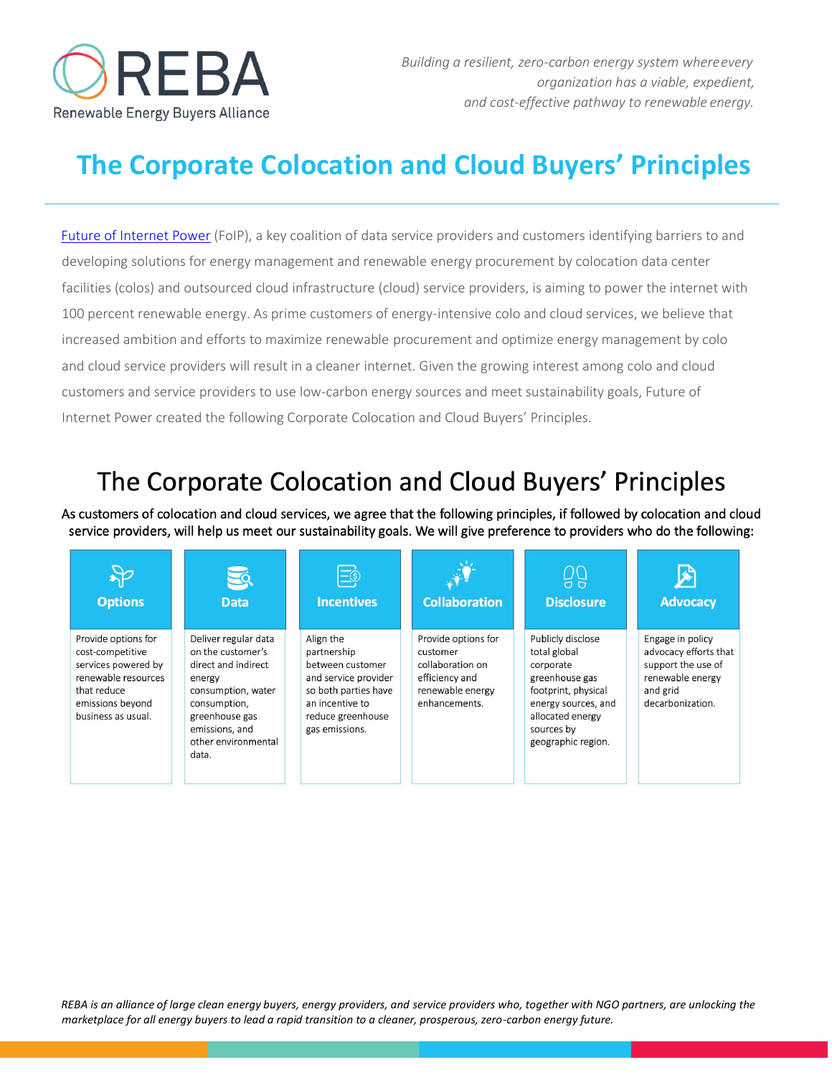

# **The Corporate Colocation and Cloud Buyers' Principles**

[Future of Internet Power](https://rebuyers.org/programs/supply-chain-and-international-collaboration/future-of-internet-power-foip/) (FoIP), a key coalition of data service providers and customers identifying barriers to and developing solutions for energy management and renewable energy procurement by colocation data center facilities (colos) and outsourced cloud infrastructure (cloud) service providers, is aiming to power the internet with 100 percent renewable energy. As prime customers of energy-intensive colo and cloud services, we believe that increased ambition and efforts to maximize renewable procurement and optimize energy management by colo and cloud service providers will result in a cleaner internet. Given the growing interest among colo and cloud customers and service providers to use low-carbon energy sources and meet sustainability goals, Future of Internet Power created the following Corporate Colocation and Cloud Buyers' Principles.

## The Corporate Colocation and Cloud Buyers' Principles

As customers of colocation and cloud services, we agree that the following principles, if followed by colocation and cloud service providers, will help us meet our sustainability goals. We will give preference to providers who do the following:

| <b>Options</b>                                                                                                                                 | <b>Data</b>                                                                                                                                                                          | $\Xi$ o<br><b>Incentives</b>                                                                                                                           | <b>Collaboration</b>                                                                                       | ΩQ<br>$\sigma$<br><b>Disclosure</b>                                                                                                                                    | <b>Advocacy</b>                                                                                                     |
|------------------------------------------------------------------------------------------------------------------------------------------------|--------------------------------------------------------------------------------------------------------------------------------------------------------------------------------------|--------------------------------------------------------------------------------------------------------------------------------------------------------|------------------------------------------------------------------------------------------------------------|------------------------------------------------------------------------------------------------------------------------------------------------------------------------|---------------------------------------------------------------------------------------------------------------------|
| Provide options for<br>cost-competitive<br>services powered by<br>renewable resources<br>that reduce<br>emissions beyond<br>business as usual. | Deliver regular data<br>on the customer's<br>direct and indirect<br>energy<br>consumption, water<br>consumption,<br>greenhouse gas<br>emissions, and<br>other environmental<br>data. | Align the<br>partnership<br>between customer<br>and service provider<br>so both parties have<br>an incentive to<br>reduce greenhouse<br>gas emissions. | Provide options for<br>customer<br>collaboration on<br>efficiency and<br>renewable energy<br>enhancements. | Publicly disclose<br>total global<br>corporate<br>greenhouse gas<br>footprint, physical<br>energy sources, and<br>allocated energy<br>sources by<br>geographic region. | Engage in policy<br>advocacy efforts that<br>support the use of<br>renewable energy<br>and grid<br>decarbonization. |

*REBA is an alliance of large clean energy buyers, energy providers, and service providers who, together with NGO partners, are unlocking the marketplace for all energy buyers to lead a rapid transition to a cleaner, prosperous, zero-carbon energy future.*